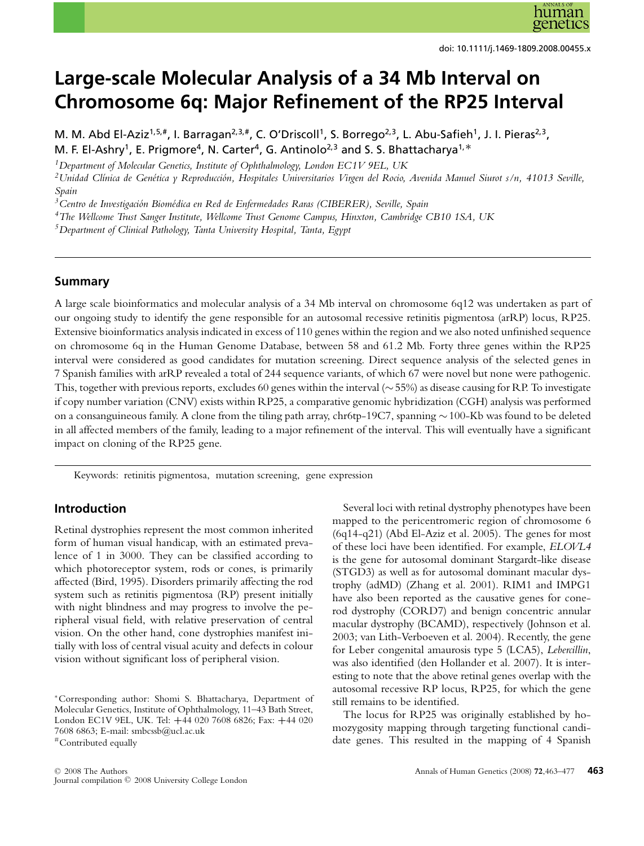

doi: 10.1111/j.1469-1809.2008.00455.x

# **Large-scale Molecular Analysis of a 34 Mb Interval on Chromosome 6q: Major Refinement of the RP25 Interval**

M. M. Abd El-Aziz<sup>1,5,#</sup>, I. Barragan<sup>2,3,#</sup>, C. O'Driscoll<sup>1</sup>, S. Borrego<sup>2,3</sup>, L. Abu-Safieh<sup>1</sup>, J. I. Pieras<sup>2,3</sup>, M. F. El-Ashry<sup>1</sup>, E. Prigmore<sup>4</sup>, N. Carter<sup>4</sup>, G. Antinolo<sup>2,3</sup> and S. S. Bhattacharya<sup>1,\*</sup>

*1Department of Molecular Genetics, Institute of Ophthalmology, London EC1V 9EL, UK*

*2Unidad Cl´ınica de Genetica y Reproducci ´ on, Hospitales Universitarios Virgen del Rocio, Avenida Manuel Siurot s/n, 41013 Seville, ´ Spain*

<sup>3</sup> Centro de Investigación Biomédica en Red de Enfermedades Raras (CIBERER), Seville, Spain

*4The Wellcome Trust Sanger Institute, Wellcome Trust Genome Campus, Hinxton, Cambridge CB10 1SA, UK*

*5Department of Clinical Pathology, Tanta University Hospital, Tanta, Egypt*

## **Summary**

A large scale bioinformatics and molecular analysis of a 34 Mb interval on chromosome 6q12 was undertaken as part of our ongoing study to identify the gene responsible for an autosomal recessive retinitis pigmentosa (arRP) locus, RP25. Extensive bioinformatics analysis indicated in excess of 110 genes within the region and we also noted unfinished sequence on chromosome 6q in the Human Genome Database, between 58 and 61.2 Mb. Forty three genes within the RP25 interval were considered as good candidates for mutation screening. Direct sequence analysis of the selected genes in 7 Spanish families with arRP revealed a total of 244 sequence variants, of which 67 were novel but none were pathogenic. This, together with previous reports, excludes 60 genes within the interval (∼55%) as disease causing for RP. To investigate if copy number variation (CNV) exists within RP25, a comparative genomic hybridization (CGH) analysis was performed on a consanguineous family. A clone from the tiling path array, chr6tp-19C7, spanning ∼100-Kb was found to be deleted in all affected members of the family, leading to a major refinement of the interval. This will eventually have a significant impact on cloning of the RP25 gene.

Keywords: retinitis pigmentosa, mutation screening, gene expression

# **Introduction**

Retinal dystrophies represent the most common inherited form of human visual handicap, with an estimated prevalence of 1 in 3000. They can be classified according to which photoreceptor system, rods or cones, is primarily affected (Bird, 1995). Disorders primarily affecting the rod system such as retinitis pigmentosa (RP) present initially with night blindness and may progress to involve the peripheral visual field, with relative preservation of central vision. On the other hand, cone dystrophies manifest initially with loss of central visual acuity and defects in colour vision without significant loss of peripheral vision.

<sup>C</sup> 2008 The Authors Journal compilation  $\oslash$  2008 University College London

Several loci with retinal dystrophy phenotypes have been mapped to the pericentromeric region of chromosome 6 (6q14-q21) (Abd El-Aziz et al. 2005). The genes for most of these loci have been identified. For example, *ELOVL4* is the gene for autosomal dominant Stargardt-like disease (STGD3) as well as for autosomal dominant macular dystrophy (adMD) (Zhang et al. 2001). RIM1 and IMPG1 have also been reported as the causative genes for conerod dystrophy (CORD7) and benign concentric annular macular dystrophy (BCAMD), respectively (Johnson et al. 2003; van Lith-Verboeven et al. 2004). Recently, the gene for Leber congenital amaurosis type 5 (LCA5), *Lebercillin*, was also identified (den Hollander et al. 2007). It is interesting to note that the above retinal genes overlap with the autosomal recessive RP locus, RP25, for which the gene still remains to be identified.

The locus for RP25 was originally established by homozygosity mapping through targeting functional candidate genes. This resulted in the mapping of 4 Spanish

<sup>∗</sup>Corresponding author: Shomi S. Bhattacharya, Department of Molecular Genetics, Institute of Ophthalmology, 11–43 Bath Street, London EC1V 9EL, UK. Tel: **+**44 020 7608 6826; Fax: **+**44 020 7608 6863; E-mail: smbcssb@ucl.ac.uk #Contributed equally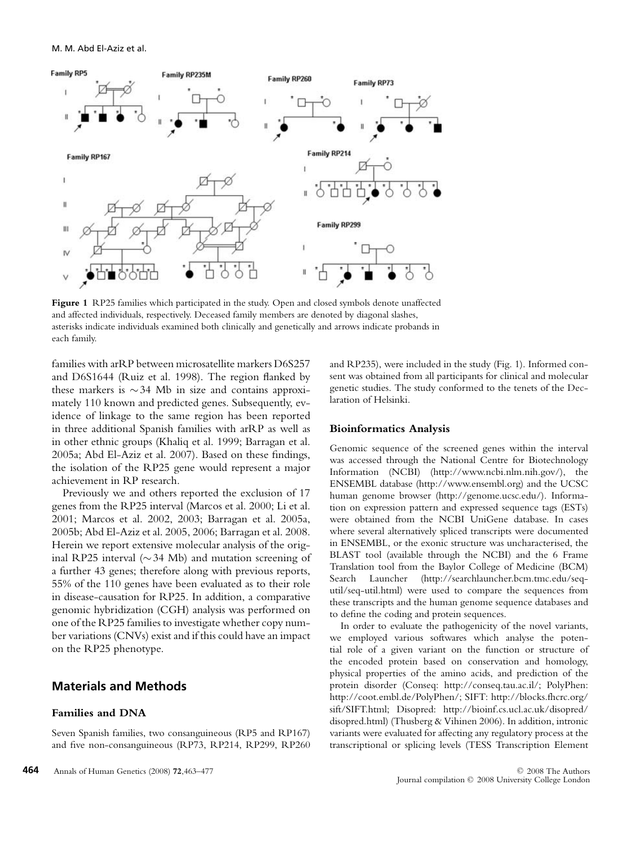

**Figure 1** RP25 families which participated in the study. Open and closed symbols denote unaffected and affected individuals, respectively. Deceased family members are denoted by diagonal slashes, asterisks indicate individuals examined both clinically and genetically and arrows indicate probands in each family.

families with arRP between microsatellite markers D6S257 and D6S1644 (Ruiz et al. 1998). The region flanked by these markers is ∼34 Mb in size and contains approximately 110 known and predicted genes. Subsequently, evidence of linkage to the same region has been reported in three additional Spanish families with arRP as well as in other ethnic groups (Khaliq et al. 1999; Barragan et al. 2005a; Abd El-Aziz et al. 2007). Based on these findings, the isolation of the RP25 gene would represent a major achievement in RP research.

Previously we and others reported the exclusion of 17 genes from the RP25 interval (Marcos et al. 2000; Li et al. 2001; Marcos et al. 2002, 2003; Barragan et al. 2005a, 2005b; Abd El-Aziz et al. 2005, 2006; Barragan et al. 2008. Herein we report extensive molecular analysis of the original RP25 interval (∼34 Mb) and mutation screening of a further 43 genes; therefore along with previous reports, 55% of the 110 genes have been evaluated as to their role in disease-causation for RP25. In addition, a comparative genomic hybridization (CGH) analysis was performed on one of the RP25 families to investigate whether copy number variations (CNVs) exist and if this could have an impact on the RP25 phenotype.

# **Materials and Methods**

#### **Families and DNA**

Seven Spanish families, two consanguineous (RP5 and RP167) and five non-consanguineous (RP73, RP214, RP299, RP260 and RP235), were included in the study (Fig. 1). Informed consent was obtained from all participants for clinical and molecular genetic studies. The study conformed to the tenets of the Declaration of Helsinki.

## **Bioinformatics Analysis**

Genomic sequence of the screened genes within the interval was accessed through the National Centre for Biotechnology Information (NCBI) (http://www.ncbi.nlm.nih.gov/), the ENSEMBL database (http://www.ensembl.org) and the UCSC human genome browser (http://genome.ucsc.edu/). Information on expression pattern and expressed sequence tags (ESTs) were obtained from the NCBI UniGene database. In cases where several alternatively spliced transcripts were documented in ENSEMBL, or the exonic structure was uncharacterised, the BLAST tool (available through the NCBI) and the 6 Frame Translation tool from the Baylor College of Medicine (BCM) Search Launcher (http://searchlauncher.bcm.tmc.edu/sequtil/seq-util.html) were used to compare the sequences from these transcripts and the human genome sequence databases and to define the coding and protein sequences.

In order to evaluate the pathogenicity of the novel variants, we employed various softwares which analyse the potential role of a given variant on the function or structure of the encoded protein based on conservation and homology, physical properties of the amino acids, and prediction of the protein disorder (Conseq: http://conseq.tau.ac.il/; PolyPhen: http://coot.embl.de/PolyPhen/; SIFT: http://blocks.fhcrc.org/ sift/SIFT.html; Disopred: http://bioinf.cs.ucl.ac.uk/disopred/ disopred.html) (Thusberg & Vihinen 2006). In addition, intronic variants were evaluated for affecting any regulatory process at the transcriptional or splicing levels (TESS Transcription Element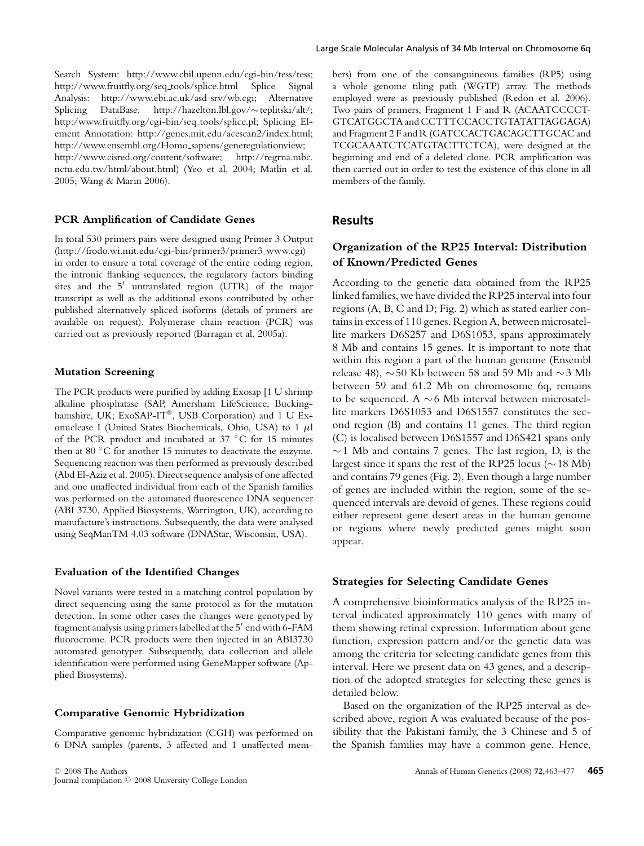Search System: http://www.cbil.upenn.edu/cgi-bin/tess/tess; http://www.fruitfly.org/seq tools/splice.html Splice Signal Analysis: http://www.ebi.ac.uk/asd-srv/wb.cgi; Alternative Splicing DataBase: http://hazelton.lbl.gov/∼teplitski/alt/; http:/www.fruitfly.org/cgi-bin/seq tools/splice.pl; Splicing Element Annotation: http://genes.mit.edu/acescan2/index.html; http://www.ensembl.org/Homo sapiens/generegulationview; http://www.cisred.org/content/software; http://regrna.mbc. nctu.edu.tw/html/about.html) (Yeo et al. 2004; Matlin et al. 2005; Wang & Marin 2006).

#### **PCR Amplification of Candidate Genes**

In total 530 primers pairs were designed using Primer 3 Output (http://frodo.wi.mit.edu/cgi-bin/primer3/primer3 www.cgi) in order to ensure a total coverage of the entire coding region, the intronic flanking sequences, the regulatory factors binding sites and the  $5'$  untranslated region (UTR) of the major transcript as well as the additional exons contributed by other published alternatively spliced isoforms (details of primers are available on request). Polymerase chain reaction (PCR) was carried out as previously reported (Barragan et al. 2005a).

#### **Mutation Screening**

The PCR products were purified by adding Exosap [1 U shrimp alkaline phosphatase (SAP, Amersham LifeScience, Buckinghamshire, UK; ExoSAP-IT®, USB Corporation) and 1 U Exonuclease I (United States Biochemicals, Ohio, USA) to 1 μl of the PCR product and incubated at 37 ◦C for 15 minutes then at 80 ◦C for another 15 minutes to deactivate the enzyme. Sequencing reaction was then performed as previously described (Abd El-Aziz et al. 2005). Direct sequence analysis of one affected and one unaffected individual from each of the Spanish families was performed on the automated fluorescence DNA sequencer (ABI 3730, Applied Biosystems, Warrington, UK), according to manufacture's instructions. Subsequently, the data were analysed using SeqManTM 4.03 software (DNAStar, Wisconsin, USA).

#### **Evaluation of the Identified Changes**

Novel variants were tested in a matching control population by direct sequencing using the same protocol as for the mutation detection. In some other cases the changes were genotyped by fragment analysis using primers labelled at the  $5'$  end with 6-FAM fluorocrome. PCR products were then injected in an ABI3730 automated genotyper. Subsequently, data collection and allele identification were performed using GeneMapper software (Applied Biosystems).

#### **Comparative Genomic Hybridization**

Comparative genomic hybridization (CGH) was performed on 6 DNA samples (parents, 3 affected and 1 unaffected members) from one of the consanguineous families (RP5) using a whole genome tiling path (WGTP) array. The methods employed were as previously published (Redon et al. 2006). Two pairs of primers, Fragment 1 F and R (ACAATCCCCT-GTCATGGCTA and CCTTTCCACCTGTATATTAGGAGA) and Fragment 2 F and R (GATCCACTGACAGCTTGCAC and TCGCAAATCTCATGTACTTCTCA), were designed at the beginning and end of a deleted clone. PCR amplification was then carried out in order to test the existence of this clone in all members of the family.

## **Results**

# **Organization of the RP25 Interval: Distribution of Known/Predicted Genes**

According to the genetic data obtained from the RP25 linked families, we have divided the RP25 interval into four regions (A, B, C and D; Fig. 2) which as stated earlier contains in excess of 110 genes. Region A, between microsatellite markers D6S257 and D6S1053, spans approximately 8 Mb and contains 15 genes. It is important to note that within this region a part of the human genome (Ensembl release 48),  $\sim$  50 Kb between 58 and 59 Mb and  $\sim$  3 Mb between 59 and 61.2 Mb on chromosome 6q, remains to be sequenced. A ∼6 Mb interval between microsatellite markers D6S1053 and D6S1557 constitutes the second region (B) and contains 11 genes. The third region (C) is localised between D6S1557 and D6S421 spans only  $∼1$  Mb and contains 7 genes. The last region, D, is the largest since it spans the rest of the RP25 locus (∼18 Mb) and contains 79 genes (Fig. 2). Even though a large number of genes are included within the region, some of the sequenced intervals are devoid of genes. These regions could either represent gene desert areas in the human genome or regions where newly predicted genes might soon appear.

## **Strategies for Selecting Candidate Genes**

A comprehensive bioinformatics analysis of the RP25 interval indicated approximately 110 genes with many of them showing retinal expression. Information about gene function, expression pattern and/or the genetic data was among the criteria for selecting candidate genes from this interval. Here we present data on 43 genes, and a description of the adopted strategies for selecting these genes is detailed below.

Based on the organization of the RP25 interval as described above, region A was evaluated because of the possibility that the Pakistani family, the 3 Chinese and 5 of the Spanish families may have a common gene. Hence,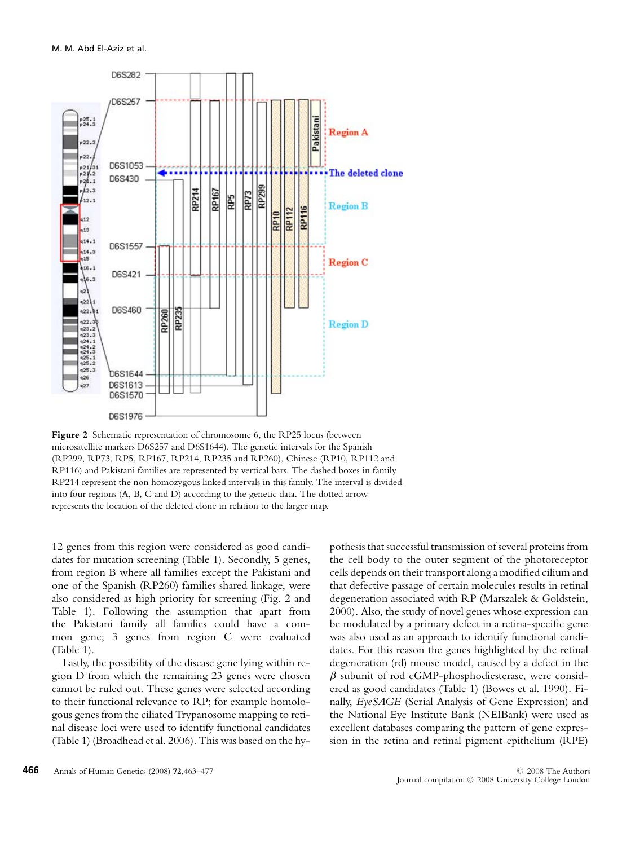

Figure 2 Schematic representation of chromosome 6, the RP25 locus (between microsatellite markers D6S257 and D6S1644). The genetic intervals for the Spanish (RP299, RP73, RP5, RP167, RP214, RP235 and RP260), Chinese (RP10, RP112 and RP116) and Pakistani families are represented by vertical bars. The dashed boxes in family RP214 represent the non homozygous linked intervals in this family. The interval is divided into four regions (A, B, C and D) according to the genetic data. The dotted arrow represents the location of the deleted clone in relation to the larger map.

12 genes from this region were considered as good candidates for mutation screening (Table 1). Secondly, 5 genes, from region B where all families except the Pakistani and one of the Spanish (RP260) families shared linkage, were also considered as high priority for screening (Fig. 2 and Table 1). Following the assumption that apart from the Pakistani family all families could have a common gene; 3 genes from region C were evaluated (Table 1).

Lastly, the possibility of the disease gene lying within region D from which the remaining 23 genes were chosen cannot be ruled out. These genes were selected according to their functional relevance to RP; for example homologous genes from the ciliated Trypanosome mapping to retinal disease loci were used to identify functional candidates (Table 1) (Broadhead et al. 2006). This was based on the hypothesis that successful transmission of several proteins from the cell body to the outer segment of the photoreceptor cells depends on their transport along a modified cilium and that defective passage of certain molecules results in retinal degeneration associated with RP (Marszalek & Goldstein, 2000). Also, the study of novel genes whose expression can be modulated by a primary defect in a retina-specific gene was also used as an approach to identify functional candidates. For this reason the genes highlighted by the retinal degeneration (rd) mouse model, caused by a defect in the  $\beta$  subunit of rod cGMP-phosphodiesterase, were considered as good candidates (Table 1) (Bowes et al. 1990). Finally, *EyeSAGE* (Serial Analysis of Gene Expression) and the National Eye Institute Bank (NEIBank) were used as excellent databases comparing the pattern of gene expression in the retina and retinal pigment epithelium (RPE)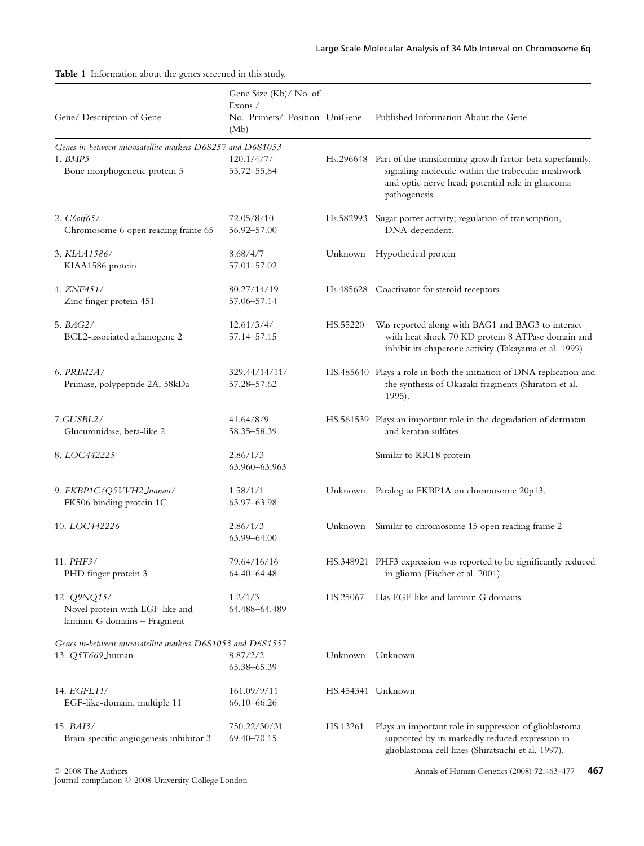|                                                                                                            | Gene Size (Kb)/ No. of<br>Exons /     |                   |                                                                                                                                                                                              |
|------------------------------------------------------------------------------------------------------------|---------------------------------------|-------------------|----------------------------------------------------------------------------------------------------------------------------------------------------------------------------------------------|
| Gene/ Description of Gene                                                                                  | No. Primers/ Position UniGene<br>(Mb) |                   | Published Information About the Gene                                                                                                                                                         |
| Genes in-between microsatellite markers D6S257 and D6S1053<br>$1.$ BMP $5$<br>Bone morphogenetic protein 5 | 120.1/4/7/<br>55,72-55,84             |                   | Hs.296648 Part of the transforming growth factor-beta superfamily;<br>signaling molecule within the trabecular meshwork<br>and optic nerve head; potential role in glaucoma<br>pathogenesis. |
| 2. C6orf65/<br>Chromosome 6 open reading frame 65                                                          | 72.05/8/10<br>56.92–57.00             |                   | Hs.582993 Sugar porter activity; regulation of transcription,<br>DNA-dependent.                                                                                                              |
| 3. KIAA1586/<br>KIAA1586 protein                                                                           | 8.68/4/7<br>57.01-57.02               |                   | Unknown Hypothetical protein                                                                                                                                                                 |
| 4. ZNF451/<br>Zinc finger protein 451                                                                      | 80.27/14/19<br>57.06-57.14            |                   | Hs.485628 Coactivator for steroid receptors                                                                                                                                                  |
| 5. BAG2/<br>BCL2-associated athanogene 2                                                                   | 12.61/3/4/<br>57.14-57.15             | HS.55220          | Was reported along with BAG1 and BAG3 to interact<br>with heat shock 70 KD protein 8 ATPase domain and<br>inhibit its chaperone activity (Takayama et al. 1999).                             |
| 6. PRIM2A/<br>Primase, polypeptide 2A, 58kDa                                                               | 329.44/14/11/<br>57.28-57.62          |                   | HS.485640 Plays a role in both the initiation of DNA replication and<br>the synthesis of Okazaki fragments (Shiratori et al.<br>1995).                                                       |
| 7.GUSBL2/<br>Glucuronidase, beta-like 2                                                                    | 41.64/8/9<br>58.35-58.39              |                   | HS.561539 Plays an important role in the degradation of dermatan<br>and keratan sulfates.                                                                                                    |
| 8. LOC442225                                                                                               | 2.86/1/3<br>63.960–63.963             |                   | Similar to KRT8 protein                                                                                                                                                                      |
| 9. FKBP1C/Q5VVH2_human/<br>FK506 binding protein 1C                                                        | 1.58/1/1<br>63.97-63.98               | Unknown           | Paralog to FKBP1A on chromosome 20p13.                                                                                                                                                       |
| 10. LOC442226                                                                                              | 2.86/1/3<br>63.99-64.00               |                   | Unknown Similar to chromosome 15 open reading frame 2                                                                                                                                        |
| 11. PHF3/<br>PHD finger protein 3                                                                          | 79.64/16/16<br>64.40-64.48            |                   | HS.348921 PHF3 expression was reported to be significantly reduced<br>in glioma (Fischer et al. 2001).                                                                                       |
| 12. Q9NQ15/<br>Novel protein with EGF-like and<br>laminin G domains - Fragment                             | 1.2/1/3<br>64.488-64.489              | HS.25067          | Has EGF-like and laminin G domains.                                                                                                                                                          |
| Genes in-between microsatellite markers D6S1053 and D6S1557<br>13. Q5T669_human                            | 8.87/2/2<br>65.38-65.39               | Unknown Unknown   |                                                                                                                                                                                              |
| 14. EGFL11/<br>EGF-like-domain, multiple 11                                                                | 161.09/9/11<br>66.10-66.26            | HS.454341 Unknown |                                                                                                                                                                                              |
| 15. $BAI3/$<br>Brain-specific angiogenesis inhibitor 3                                                     | 750.22/30/31<br>69.40-70.15           | HS.13261          | Plays an important role in suppression of glioblastoma<br>supported by its markedly reduced expression in<br>glioblastoma cell lines (Shiratsuchi et al. 1997).                              |

**Table 1** Information about the genes screened in this study.

© 2008 The Authors<br>Journal compilation © 2008 University College London

Annals of Human Genetics (2008) **72**,463–477 **467**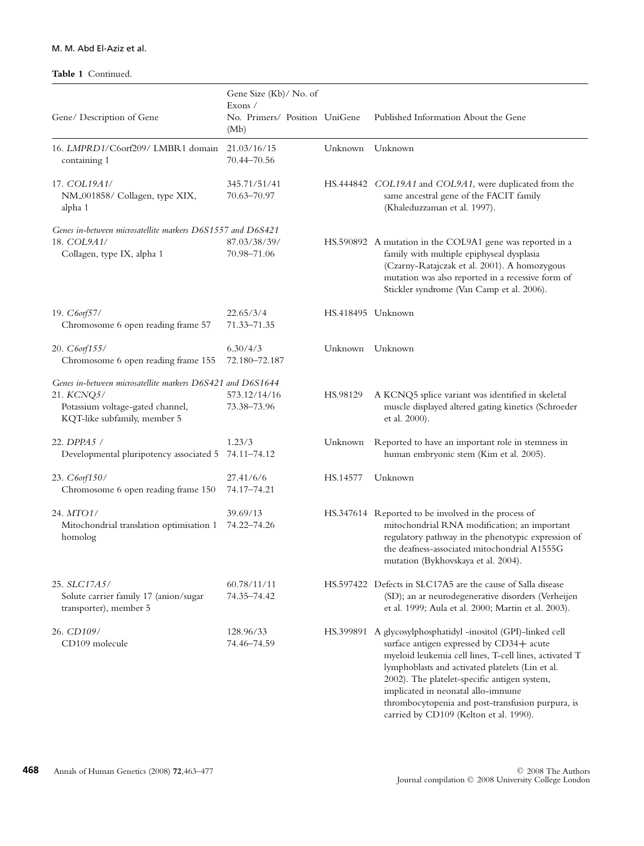## M. M. Abd El-Aziz et al.

## **Table 1** Continued.

|                                                                                                                                              | Gene Size (Kb)/ No. of<br>Exons /     |                   |                                                                                                                                                                                                                                                                                                                                                                                                             |
|----------------------------------------------------------------------------------------------------------------------------------------------|---------------------------------------|-------------------|-------------------------------------------------------------------------------------------------------------------------------------------------------------------------------------------------------------------------------------------------------------------------------------------------------------------------------------------------------------------------------------------------------------|
| Gene/ Description of Gene                                                                                                                    | No. Primers/ Position UniGene<br>(Mb) |                   | Published Information About the Gene                                                                                                                                                                                                                                                                                                                                                                        |
| 16. LMPRD1/C6orf209/ LMBR1 domain<br>containing 1                                                                                            | 21.03/16/15<br>70.44-70.56            | Unknown           | Unknown                                                                                                                                                                                                                                                                                                                                                                                                     |
| 17. COL19A1/<br>NM_001858/ Collagen, type XIX,<br>alpha 1                                                                                    | 345.71/51/41<br>70.63-70.97           |                   | HS.444842 COL19A1 and COL9A1, were duplicated from the<br>same ancestral gene of the FACIT family<br>(Khaleduzzaman et al. 1997).                                                                                                                                                                                                                                                                           |
| Genes in-between microsatellite markers D6S1557 and D6S421<br>18. COL9A1/<br>Collagen, type IX, alpha 1                                      | 87.03/38/39/<br>70.98–71.06           |                   | HS.590892 A mutation in the COL9A1 gene was reported in a<br>family with multiple epiphyseal dysplasia<br>(Czarny-Ratajczak et al. 2001). A homozygous<br>mutation was also reported in a recessive form of<br>Stickler syndrome (Van Camp et al. 2006).                                                                                                                                                    |
| 19. C6orf57/<br>Chromosome 6 open reading frame 57                                                                                           | 22.65/3/4<br>71.33–71.35              | HS.418495 Unknown |                                                                                                                                                                                                                                                                                                                                                                                                             |
| 20. C6orf155/<br>Chromosome 6 open reading frame 155                                                                                         | 6.30/4/3<br>72.180-72.187             | Unknown           | Unknown                                                                                                                                                                                                                                                                                                                                                                                                     |
| Genes in-between microsatellite markers D6S421 and D6S1644<br>21. KCNQ5/<br>Potassium voltage-gated channel,<br>KQT-like subfamily, member 5 | 573.12/14/16<br>73.38–73.96           | HS.98129          | A KCNQ5 splice variant was identified in skeletal<br>muscle displayed altered gating kinetics (Schroeder<br>et al. 2000).                                                                                                                                                                                                                                                                                   |
| 22. DPPA5 /<br>Developmental pluripotency associated 5                                                                                       | 1.23/3<br>74.11-74.12                 | Unknown           | Reported to have an important role in stemness in<br>human embryonic stem (Kim et al. 2005).                                                                                                                                                                                                                                                                                                                |
| 23. C6orf150/<br>Chromosome 6 open reading frame 150                                                                                         | 27.41/6/6<br>74.17-74.21              | HS.14577          | Unknown                                                                                                                                                                                                                                                                                                                                                                                                     |
| 24. MTO1/<br>Mitochondrial translation optimisation 1<br>homolog                                                                             | 39.69/13<br>74.22-74.26               |                   | HS.347614 Reported to be involved in the process of<br>mitochondrial RNA modification; an important<br>regulatory pathway in the phenotypic expression of<br>the deafness-associated mitochondrial A1555G<br>mutation (Bykhovskaya et al. 2004).                                                                                                                                                            |
| 25. SLC17A5/<br>Solute carrier family 17 (anion/sugar<br>transporter), member 5                                                              | 60.78/11/11<br>74.35–74.42            |                   | HS.597422 Defects in SLC17A5 are the cause of Salla disease<br>(SD); an ar neurodegenerative disorders (Verheijen<br>et al. 1999; Aula et al. 2000; Martin et al. 2003).                                                                                                                                                                                                                                    |
| 26. CD109/<br>CD109 molecule                                                                                                                 | 128.96/33<br>74.46-74.59              |                   | HS.399891 A glycosylphosphatidyl -inositol (GPI)-linked cell<br>surface antigen expressed by CD34+ acute<br>myeloid leukemia cell lines, T-cell lines, activated T<br>lymphoblasts and activated platelets (Lin et al.<br>2002). The platelet-specific antigen system,<br>implicated in neonatal allo-immune<br>thrombocytopenia and post-transfusion purpura, is<br>carried by CD109 (Kelton et al. 1990). |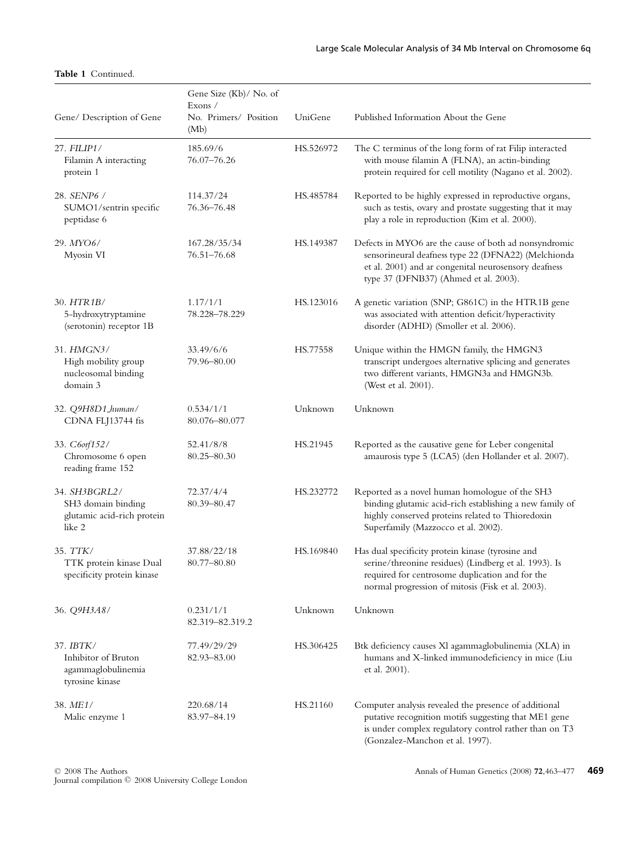## **Table 1** Continued.

|                                                                             | Gene Size (Kb)/No. of<br>Exons $\angle$ |           |                                                                                                                                                                                                                    |
|-----------------------------------------------------------------------------|-----------------------------------------|-----------|--------------------------------------------------------------------------------------------------------------------------------------------------------------------------------------------------------------------|
| Gene/ Description of Gene                                                   | No. Primers/ Position<br>(Mb)           | UniGene   | Published Information About the Gene                                                                                                                                                                               |
| 27. FILIP1/<br>Filamin A interacting<br>protein 1                           | 185.69/6<br>76.07-76.26                 | HS.526972 | The C terminus of the long form of rat Filip interacted<br>with mouse filamin A (FLNA), an actin-binding<br>protein required for cell motility (Nagano et al. 2002).                                               |
| 28. SENP6 /<br>SUMO1/sentrin specific<br>peptidase 6                        | 114.37/24<br>76.36-76.48                | HS.485784 | Reported to be highly expressed in reproductive organs,<br>such as testis, ovary and prostate suggesting that it may<br>play a role in reproduction (Kim et al. 2000).                                             |
| 29. MYO6/<br>Myosin VI                                                      | 167.28/35/34<br>76.51-76.68             | HS.149387 | Defects in MYO6 are the cause of both ad nonsyndromic<br>sensorineural deafness type 22 (DFNA22) (Melchionda<br>et al. 2001) and ar congenital neurosensory deafness<br>type 37 (DFNB37) (Ahmed et al. 2003).      |
| 30. HTR1B/<br>5-hydroxytryptamine<br>(serotonin) receptor 1B                | 1.17/1/1<br>78.228-78.229               | HS.123016 | A genetic variation (SNP; G861C) in the HTR1B gene<br>was associated with attention deficit/hyperactivity<br>disorder (ADHD) (Smoller et al. 2006).                                                                |
| 31. HMGN3/<br>High mobility group<br>nucleosomal binding<br>domain 3        | 33.49/6/6<br>79.96–80.00                | HS.77558  | Unique within the HMGN family, the HMGN3<br>transcript undergoes alternative splicing and generates<br>two different variants, HMGN3a and HMGN3b.<br>(West et al. 2001).                                           |
| 32. Q9H8D1_human/<br>CDNA FLJ13744 fis                                      | 0.534/1/1<br>80.076-80.077              | Unknown   | Unknown                                                                                                                                                                                                            |
| 33. C6orf152/<br>Chromosome 6 open<br>reading frame 152                     | 52.41/8/8<br>80.25–80.30                | HS.21945  | Reported as the causative gene for Leber congenital<br>amaurosis type 5 (LCA5) (den Hollander et al. 2007).                                                                                                        |
| 34. SH3BGRL2/<br>SH3 domain binding<br>glutamic acid-rich protein<br>like 2 | 72.37/4/4<br>80.39-80.47                | HS.232772 | Reported as a novel human homologue of the SH3<br>binding glutamic acid-rich establishing a new family of<br>highly conserved proteins related to Thioredoxin<br>Superfamily (Mazzocco et al. 2002).               |
| 35. TTK/<br>TTK protein kinase Dual<br>specificity protein kinase           | 37.88/22/18<br>80.77–80.80              | HS.169840 | Has dual specificity protein kinase (tyrosine and<br>serine/threonine residues) (Lindberg et al. 1993). Is<br>required for centrosome duplication and for the<br>normal progression of mitosis (Fisk et al. 2003). |
| 36. Q9H3A8/                                                                 | 0.231/1/1<br>82.319-82.319.2            | Unknown   | Unknown                                                                                                                                                                                                            |
| 37. IBTK/<br>Inhibitor of Bruton<br>agammaglobulinemia<br>tyrosine kinase   | 77.49/29/29<br>82.93-83.00              | HS.306425 | Btk deficiency causes XI agammaglobulinemia (XLA) in<br>humans and X-linked immunodeficiency in mice (Liu<br>et al. 2001).                                                                                         |
| 38. ME1/<br>Malic enzyme 1                                                  | 220.68/14<br>83.97-84.19                | HS.21160  | Computer analysis revealed the presence of additional<br>putative recognition motifs suggesting that ME1 gene<br>is under complex regulatory control rather than on T3<br>(Gonzalez-Manchon et al. 1997).          |

© 2008 The Authors<br>Journal compilation © 2008 University College London

Annals of Human Genetics (2008) **72**,463–477 **469**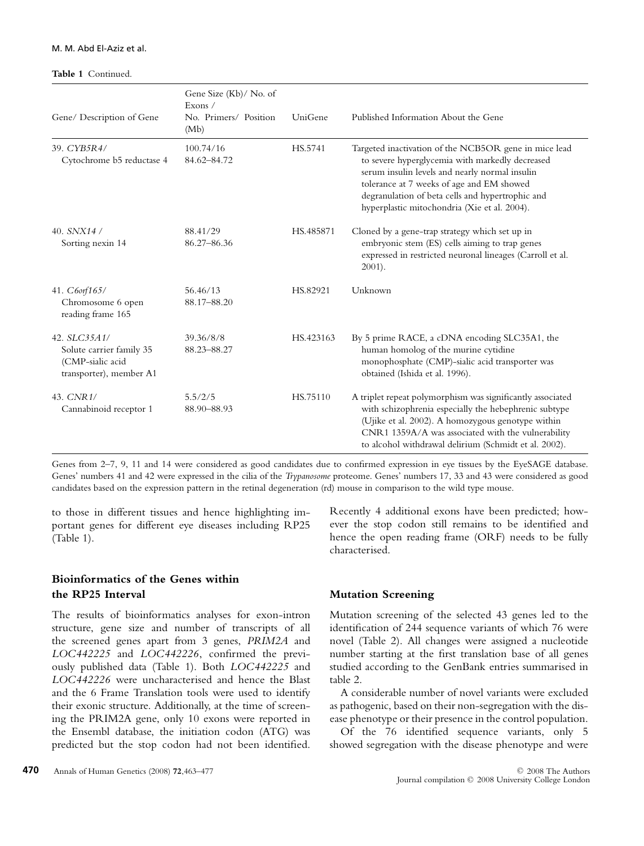## M. M. Abd El-Aziz et al.

#### **Table 1** Continued.

| Gene/ Description of Gene                                                               | Gene Size (Kb)/ No. of<br>Exons /<br>No. Primers/ Position<br>(Mb) | UniGene   | Published Information About the Gene                                                                                                                                                                                                                                                                        |
|-----------------------------------------------------------------------------------------|--------------------------------------------------------------------|-----------|-------------------------------------------------------------------------------------------------------------------------------------------------------------------------------------------------------------------------------------------------------------------------------------------------------------|
| 39. CYB5R4/<br>Cytochrome b5 reductase 4                                                | 100.74/16<br>84.62-84.72                                           | HS.5741   | Targeted inactivation of the NCB5OR gene in mice lead<br>to severe hyperglycemia with markedly decreased<br>serum insulin levels and nearly normal insulin<br>tolerance at 7 weeks of age and EM showed<br>degranulation of beta cells and hypertrophic and<br>hyperplastic mitochondria (Xie et al. 2004). |
| 40. $SNX14/$<br>Sorting nexin 14                                                        | 88.41/29<br>86.27-86.36                                            | HS.485871 | Cloned by a gene-trap strategy which set up in<br>embryonic stem (ES) cells aiming to trap genes<br>expressed in restricted neuronal lineages (Carroll et al.<br>$2001$ ).                                                                                                                                  |
| 41. C6orf165/<br>Chromosome 6 open<br>reading frame 165                                 | 56.46/13<br>88.17-88.20                                            | HS.82921  | Unknown                                                                                                                                                                                                                                                                                                     |
| 42. SLC35A1/<br>Solute carrier family 35<br>(CMP-sialic acid<br>transporter), member A1 | 39.36/8/8<br>88.23-88.27                                           | HS.423163 | By 5 prime RACE, a cDNA encoding SLC35A1, the<br>human homolog of the murine cytidine<br>monophosphate (CMP)-sialic acid transporter was<br>obtained (Ishida et al. 1996).                                                                                                                                  |
| 43. CNR1/<br>Cannabinoid receptor 1                                                     | 5.5/2/5<br>88.90-88.93                                             | HS.75110  | A triplet repeat polymorphism was significantly associated<br>with schizophrenia especially the hebephrenic subtype<br>(Ujike et al. 2002). A homozygous genotype within<br>CNR1 1359A/A was associated with the vulnerability<br>to alcohol withdrawal delirium (Schmidt et al. 2002).                     |

Genes from 2–7, 9, 11 and 14 were considered as good candidates due to confirmed expression in eye tissues by the EyeSAGE database. Genes' numbers 41 and 42 were expressed in the cilia of the *Trypanosome* proteome. Genes' numbers 17, 33 and 43 were considered as good candidates based on the expression pattern in the retinal degeneration (rd) mouse in comparison to the wild type mouse.

to those in different tissues and hence highlighting important genes for different eye diseases including RP25 (Table 1).

# **Bioinformatics of the Genes within the RP25 Interval**

The results of bioinformatics analyses for exon-intron structure, gene size and number of transcripts of all the screened genes apart from 3 genes, *PRIM2A* and *LOC442225* and *LOC442226*, confirmed the previously published data (Table 1). Both *LOC442225* and *LOC442226* were uncharacterised and hence the Blast and the 6 Frame Translation tools were used to identify their exonic structure. Additionally, at the time of screening the PRIM2A gene, only 10 exons were reported in the Ensembl database, the initiation codon (ATG) was predicted but the stop codon had not been identified.

Recently 4 additional exons have been predicted; however the stop codon still remains to be identified and hence the open reading frame (ORF) needs to be fully characterised.

## **Mutation Screening**

Mutation screening of the selected 43 genes led to the identification of 244 sequence variants of which 76 were novel (Table 2). All changes were assigned a nucleotide number starting at the first translation base of all genes studied according to the GenBank entries summarised in table 2.

A considerable number of novel variants were excluded as pathogenic, based on their non-segregation with the disease phenotype or their presence in the control population.

Of the 76 identified sequence variants, only 5 showed segregation with the disease phenotype and were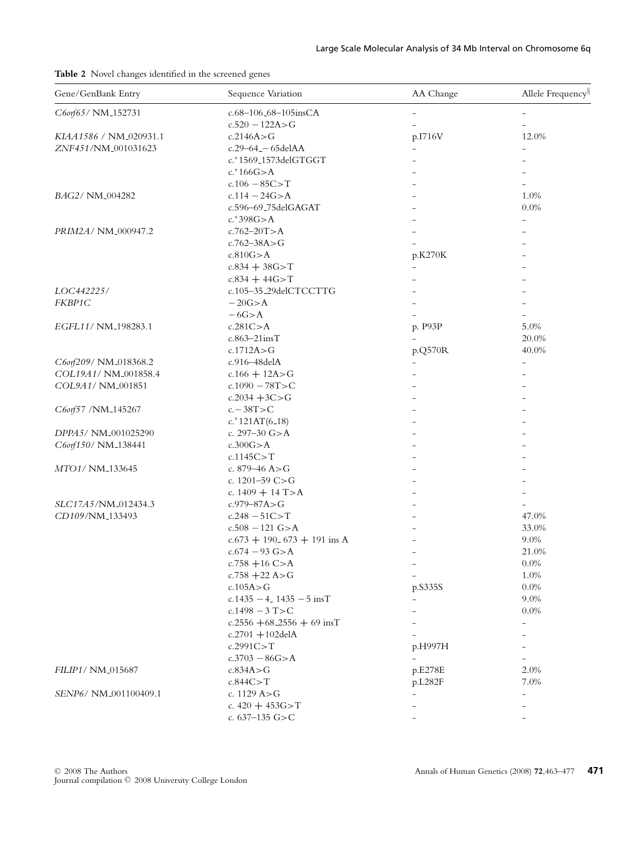**Table 2** Novel changes identified in the screened genes

| Gene/GenBank Entry     | Sequence Variation               |                          | Allele Frequency <sup>§</sup> |  |
|------------------------|----------------------------------|--------------------------|-------------------------------|--|
| C6orf65/NM_152731      | c.68-106_68-105insCA             |                          |                               |  |
|                        | $c.520 - 122A > G$               |                          |                               |  |
| KIAA1586 / NM_020931.1 | c.2146A > G                      | p.I716V                  | 12.0%                         |  |
| ZNF451/NM_001031623    | c.29-64_-65delAA                 | $\overline{\phantom{0}}$ |                               |  |
|                        | c.*1569_1573delGTGGT             |                          |                               |  |
|                        | $c.*166G > A$                    |                          |                               |  |
|                        | $c.106 - 85C > T$                |                          |                               |  |
| BAG2/ NM_004282        | $c.114 - 24G > A$                |                          | 1.0%                          |  |
|                        | c.596-69_75delGAGAT              |                          | 0.0%                          |  |
|                        | $c.*398G > A$                    |                          |                               |  |
| PRIM2A/ NM_000947.2    | $c.762 - 20T > A$                |                          |                               |  |
|                        | $c.762 - 38A > G$                |                          |                               |  |
|                        | c.810G > A                       | p.K270K                  |                               |  |
|                        | $c.834 + 38G > T$                |                          |                               |  |
|                        | $c.834 + 44G > T$                |                          |                               |  |
| LOC442225/             | c.105-35_29delCTCCTTG            |                          |                               |  |
| FKBP1C                 | $-20G > A$                       |                          |                               |  |
|                        | $-6G > A$                        |                          |                               |  |
| EGFL11/ NM_198283.1    | c.281C > A                       | p. P93P                  | 5.0%                          |  |
|                        | $c.863 - 21$ insT                |                          | 20.0%                         |  |
|                        | c.1712A > G                      | p.Q570R                  | 40.0%                         |  |
| C6orf209/NM_018368.2   | c.916-48delA                     |                          |                               |  |
| COL19A1/NM_001858.4    | c.166 $+$ 12A>G                  |                          |                               |  |
| COL9A1/NM_001851       | c.1090 $-78T > C$                |                          |                               |  |
|                        | c.2034 $+3C > G$                 |                          |                               |  |
| C6orf57 /NM_145267     | $c - 38T > C$                    |                          |                               |  |
|                        | $c.*121AT(6_18)$                 |                          |                               |  |
| DPPA5/ NM_001025290    | c. $297 - 30$ G $> A$            |                          |                               |  |
| C6orf150/NM_138441     | c.300G > A                       |                          |                               |  |
|                        | c.1145C > T                      |                          |                               |  |
| MTO1/ NM_133645        | c. $879 - 46$ A $>$ G            |                          |                               |  |
|                        | c. $1201 - 59$ C $> G$           |                          |                               |  |
|                        | c. $1409 + 14$ T > A             |                          |                               |  |
| SLC17A5/NM_012434.3    | $c.979 - 87A > G$                |                          |                               |  |
| CD109/NM_133493        | $c.248 - 51C > T$                |                          | 47.0%                         |  |
|                        | $c.508 - 121$ G $> A$            |                          | 33.0%                         |  |
|                        | $c.673 + 190.673 + 191$ ins A    |                          | 9.0%                          |  |
|                        | $c.674 - 93$ G $> A$             |                          | 21.0%                         |  |
|                        | c.758 $+16$ C>A                  |                          | 0.0%                          |  |
|                        | c.758 $+22$ A>G                  | $\overline{a}$           | 1.0%                          |  |
|                        | c.105A > G                       | p.S335S                  | $0.0\%$                       |  |
|                        | $c.1435 - 4$ 1435 $-5$ insT      |                          | 9.0%                          |  |
|                        | c.1498 $-3$ T>C                  |                          | 0.0%                          |  |
|                        | c.2556 +68_2556 + 69 insT        |                          |                               |  |
|                        | $c.2701 + 102$ delA              |                          |                               |  |
|                        | c.2991C > T                      | p.H997H                  |                               |  |
|                        |                                  |                          |                               |  |
| FILIP1/ NM_015687      | $c.3703 - 86G > A$<br>c.834A > G | p.E278E                  | 2.0%                          |  |
|                        |                                  |                          |                               |  |
| SENP6/NM_001100409.1   | c.844C > T                       | p.L282F                  | 7.0%                          |  |
|                        | c. 1129 A>G                      |                          |                               |  |
|                        | c. $420 + 453G > T$              |                          |                               |  |
|                        | c. $637-135$ G>C                 |                          |                               |  |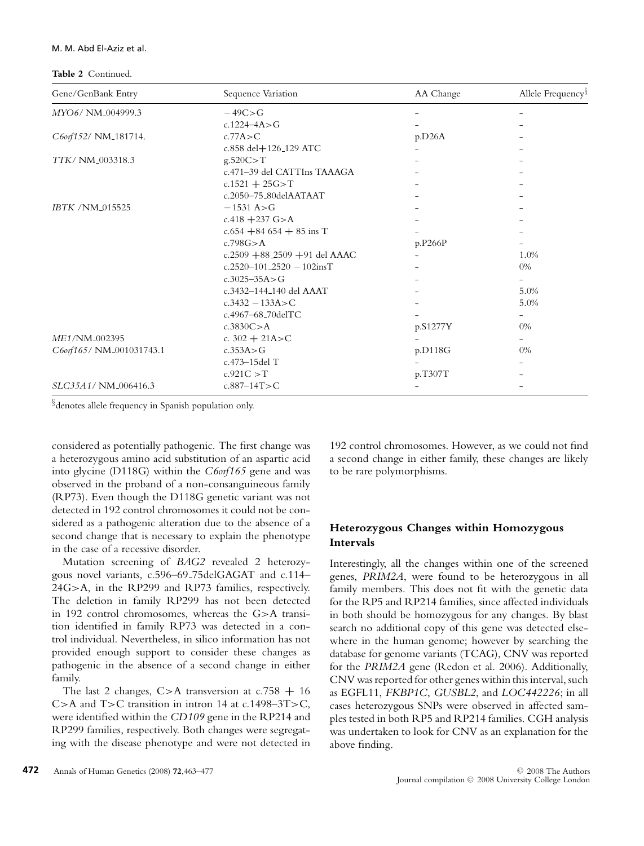### M. M. Abd El-Aziz et al.

**Table 2** Continued.

| Gene/GenBank Entry        | Sequence Variation                           | AA Change | Allele Frequency <sup>§</sup> |
|---------------------------|----------------------------------------------|-----------|-------------------------------|
| MYO6/ NM_004999.3         | $-49C > G$                                   |           |                               |
|                           | c.1224-4A>G                                  |           |                               |
| C6orf152/ NM_181714.      | c.77A > C                                    | p.D26A    |                               |
|                           | c.858 del+126_129 ATC                        |           |                               |
| TTK/ NM_003318.3          | g.520C > T                                   |           |                               |
|                           | c.471-39 del CATTIns TAAAGA                  |           |                               |
|                           | $c.1521 + 25G > T$                           |           |                               |
|                           | c.2050-75_80delAATAAT                        |           |                               |
| IBTK / NM_015525          | $-1531 A > G$                                |           |                               |
|                           | c.418 $+237$ G $> A$                         |           |                               |
|                           | $c.654 + 84654 + 85$ ins T                   |           |                               |
|                           | c.798G > A                                   | p.P266P   |                               |
|                           | c.2509 $+88$ <sub>-2509</sub> $+91$ del AAAC |           | 1.0%                          |
|                           | c.2520-101_2520 - 102insT                    |           | $0\%$                         |
|                           | $c.3025 - 35A > G$                           |           |                               |
|                           | c.3432-144 <sub>-140</sub> del AAAT          |           | 5.0%                          |
|                           | $c.3432 - 133A > C$                          |           | 5.0%                          |
|                           | c.4967-68_70delTC                            |           |                               |
|                           | c.3830C > A                                  | p.S1277Y  | $0\%$                         |
| ME1/NM <sub>-002395</sub> | c. $302 + 21A > C$                           |           | $\overline{\phantom{0}}$      |
| C6orf165/NM_001031743.1   | c.353A > G                                   | p.D118G   | $0\%$                         |
|                           | c.473-15del T                                |           |                               |
|                           | c.921C > T                                   | p.T307T   |                               |
| SLC35A1/NM_006416.3       | $c.887 - 14T > C$                            |           |                               |

§denotes allele frequency in Spanish population only.

considered as potentially pathogenic. The first change was a heterozygous amino acid substitution of an aspartic acid into glycine (D118G) within the *C6orf165* gene and was observed in the proband of a non-consanguineous family (RP73). Even though the D118G genetic variant was not detected in 192 control chromosomes it could not be considered as a pathogenic alteration due to the absence of a second change that is necessary to explain the phenotype in the case of a recessive disorder.

Mutation screening of *BAG2* revealed 2 heterozygous novel variants, c.596–69 75delGAGAT and c.114– 24G>A, in the RP299 and RP73 families, respectively. The deletion in family RP299 has not been detected in 192 control chromosomes, whereas the G>A transition identified in family RP73 was detected in a control individual. Nevertheless, in silico information has not provided enough support to consider these changes as pathogenic in the absence of a second change in either family.

The last 2 changes, C>A transversion at c.758 **+** 16 C>A and T>C transition in intron 14 at c.1498–3T>C, were identified within the *CD109* gene in the RP214 and RP299 families, respectively. Both changes were segregating with the disease phenotype and were not detected in 192 control chromosomes. However, as we could not find a second change in either family, these changes are likely to be rare polymorphisms.

## **Heterozygous Changes within Homozygous Intervals**

Interestingly, all the changes within one of the screened genes, *PRIM2A*, were found to be heterozygous in all family members. This does not fit with the genetic data for the RP5 and RP214 families, since affected individuals in both should be homozygous for any changes. By blast search no additional copy of this gene was detected elsewhere in the human genome; however by searching the database for genome variants (TCAG), CNV was reported for the *PRIM2A* gene (Redon et al. 2006). Additionally, CNV was reported for other genes within this interval, such as EGFL11, *FKBP1C*, *GUSBL2*, and *LOC442226*; in all cases heterozygous SNPs were observed in affected samples tested in both RP5 and RP214 families. CGH analysis was undertaken to look for CNV as an explanation for the above finding.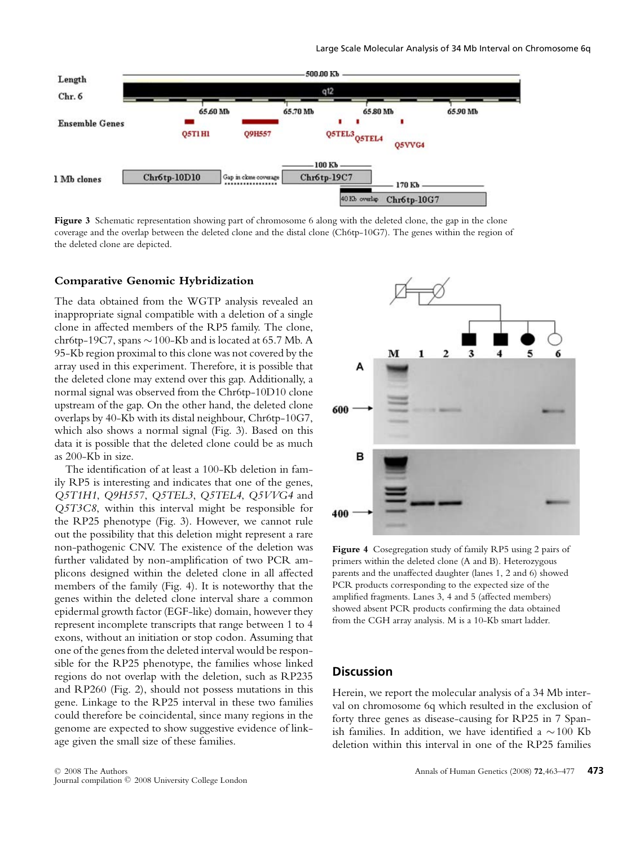

**Figure 3** Schematic representation showing part of chromosome 6 along with the deleted clone, the gap in the clone coverage and the overlap between the deleted clone and the distal clone (Ch6tp-10G7). The genes within the region of the deleted clone are depicted.

## **Comparative Genomic Hybridization**

The data obtained from the WGTP analysis revealed an inappropriate signal compatible with a deletion of a single clone in affected members of the RP5 family. The clone, chr6tp-19C7, spans ∼100-Kb and is located at 65.7 Mb. A 95-Kb region proximal to this clone was not covered by the array used in this experiment. Therefore, it is possible that the deleted clone may extend over this gap. Additionally, a normal signal was observed from the Chr6tp-10D10 clone upstream of the gap. On the other hand, the deleted clone overlaps by 40-Kb with its distal neighbour, Chr6tp-10G7, which also shows a normal signal (Fig. 3). Based on this data it is possible that the deleted clone could be as much as 200-Kb in size.

The identification of at least a 100-Kb deletion in family RP5 is interesting and indicates that one of the genes, *Q5T1H1*, *Q9H557*, *Q5TEL3*, *Q5TEL4*, *Q5VVG4* and *Q5T3C8*, within this interval might be responsible for the RP25 phenotype (Fig. 3). However, we cannot rule out the possibility that this deletion might represent a rare non-pathogenic CNV. The existence of the deletion was further validated by non-amplification of two PCR amplicons designed within the deleted clone in all affected members of the family (Fig. 4). It is noteworthy that the genes within the deleted clone interval share a common epidermal growth factor (EGF-like) domain, however they represent incomplete transcripts that range between 1 to 4 exons, without an initiation or stop codon. Assuming that one of the genes from the deleted interval would be responsible for the RP25 phenotype, the families whose linked regions do not overlap with the deletion, such as RP235 and RP260 (Fig. 2), should not possess mutations in this gene. Linkage to the RP25 interval in these two families could therefore be coincidental, since many regions in the genome are expected to show suggestive evidence of linkage given the small size of these families.



**Figure 4** Cosegregation study of family RP5 using 2 pairs of primers within the deleted clone (A and B). Heterozygous parents and the unaffected daughter (lanes 1, 2 and 6) showed PCR products corresponding to the expected size of the amplified fragments. Lanes 3, 4 and 5 (affected members) showed absent PCR products confirming the data obtained from the CGH array analysis. M is a 10-Kb smart ladder.

# **Discussion**

Herein, we report the molecular analysis of a 34 Mb interval on chromosome 6q which resulted in the exclusion of forty three genes as disease-causing for RP25 in 7 Spanish families. In addition, we have identified a ∼100 Kb deletion within this interval in one of the RP25 families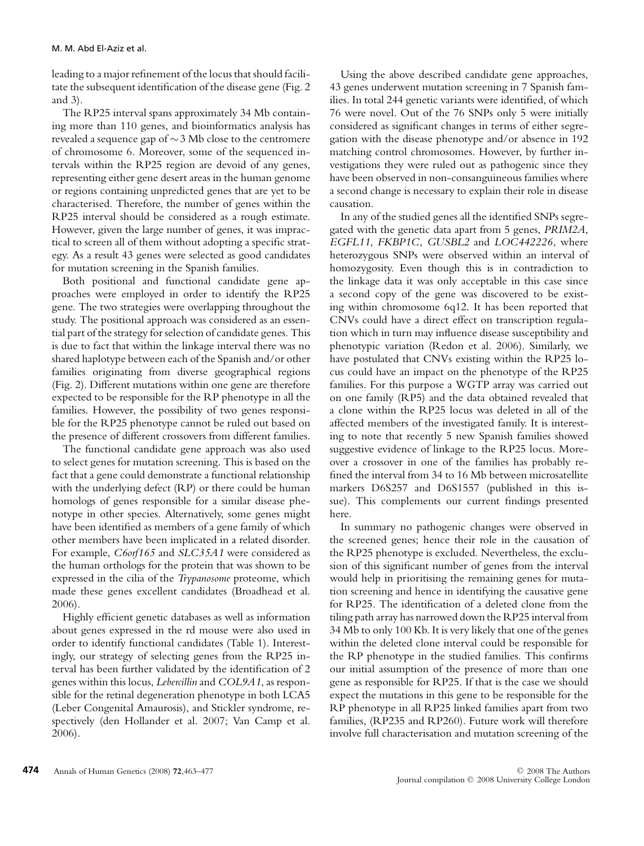leading to a major refinement of the locus that should facilitate the subsequent identification of the disease gene (Fig. 2 and 3).

The RP25 interval spans approximately 34 Mb containing more than 110 genes, and bioinformatics analysis has revealed a sequence gap of ∼3 Mb close to the centromere of chromosome 6. Moreover, some of the sequenced intervals within the RP25 region are devoid of any genes, representing either gene desert areas in the human genome or regions containing unpredicted genes that are yet to be characterised. Therefore, the number of genes within the RP25 interval should be considered as a rough estimate. However, given the large number of genes, it was impractical to screen all of them without adopting a specific strategy. As a result 43 genes were selected as good candidates for mutation screening in the Spanish families.

Both positional and functional candidate gene approaches were employed in order to identify the RP25 gene. The two strategies were overlapping throughout the study. The positional approach was considered as an essential part of the strategy for selection of candidate genes. This is due to fact that within the linkage interval there was no shared haplotype between each of the Spanish and/or other families originating from diverse geographical regions (Fig. 2). Different mutations within one gene are therefore expected to be responsible for the RP phenotype in all the families. However, the possibility of two genes responsible for the RP25 phenotype cannot be ruled out based on the presence of different crossovers from different families.

The functional candidate gene approach was also used to select genes for mutation screening. This is based on the fact that a gene could demonstrate a functional relationship with the underlying defect (RP) or there could be human homologs of genes responsible for a similar disease phenotype in other species. Alternatively, some genes might have been identified as members of a gene family of which other members have been implicated in a related disorder. For example, *C6orf165* and *SLC35A1* were considered as the human orthologs for the protein that was shown to be expressed in the cilia of the *Trypanosome* proteome, which made these genes excellent candidates (Broadhead et al. 2006).

Highly efficient genetic databases as well as information about genes expressed in the rd mouse were also used in order to identify functional candidates (Table 1). Interestingly, our strategy of selecting genes from the RP25 interval has been further validated by the identification of 2 genes within this locus, *Lebercillin* and *COL9A1*, as responsible for the retinal degeneration phenotype in both LCA5 (Leber Congenital Amaurosis), and Stickler syndrome, respectively (den Hollander et al. 2007; Van Camp et al. 2006).

Using the above described candidate gene approaches, 43 genes underwent mutation screening in 7 Spanish families. In total 244 genetic variants were identified, of which 76 were novel. Out of the 76 SNPs only 5 were initially considered as significant changes in terms of either segregation with the disease phenotype and/or absence in 192 matching control chromosomes. However, by further investigations they were ruled out as pathogenic since they have been observed in non-consanguineous families where a second change is necessary to explain their role in disease causation.

In any of the studied genes all the identified SNPs segregated with the genetic data apart from 5 genes, *PRIM2A*, *EGFL11*, *FKBP1C*, *GUSBL2* and *LOC442226*, where heterozygous SNPs were observed within an interval of homozygosity. Even though this is in contradiction to the linkage data it was only acceptable in this case since a second copy of the gene was discovered to be existing within chromosome 6q12. It has been reported that CNVs could have a direct effect on transcription regulation which in turn may influence disease susceptibility and phenotypic variation (Redon et al. 2006). Similarly, we have postulated that CNVs existing within the RP25 locus could have an impact on the phenotype of the RP25 families. For this purpose a WGTP array was carried out on one family (RP5) and the data obtained revealed that a clone within the RP25 locus was deleted in all of the affected members of the investigated family. It is interesting to note that recently 5 new Spanish families showed suggestive evidence of linkage to the RP25 locus. Moreover a crossover in one of the families has probably refined the interval from 34 to 16 Mb between microsatellite markers D6S257 and D6S1557 (published in this issue). This complements our current findings presented here.

In summary no pathogenic changes were observed in the screened genes; hence their role in the causation of the RP25 phenotype is excluded. Nevertheless, the exclusion of this significant number of genes from the interval would help in prioritising the remaining genes for mutation screening and hence in identifying the causative gene for RP25. The identification of a deleted clone from the tiling path array has narrowed down the RP25 interval from 34 Mb to only 100 Kb. It is very likely that one of the genes within the deleted clone interval could be responsible for the RP phenotype in the studied families. This confirms our initial assumption of the presence of more than one gene as responsible for RP25. If that is the case we should expect the mutations in this gene to be responsible for the RP phenotype in all RP25 linked families apart from two families, (RP235 and RP260). Future work will therefore involve full characterisation and mutation screening of the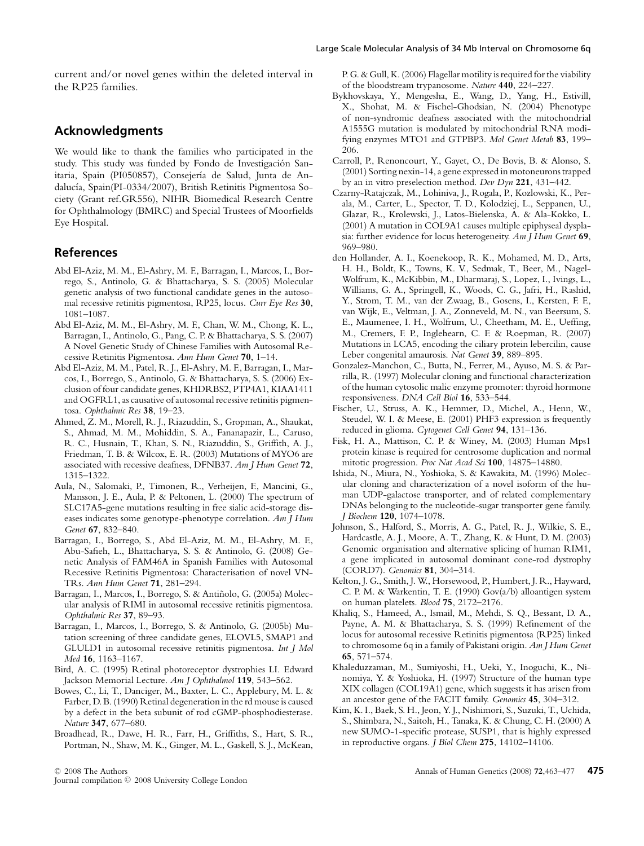current and/or novel genes within the deleted interval in the RP25 families.

# **Acknowledgments**

We would like to thank the families who participated in the study. This study was funded by Fondo de Investigación Sanitaria, Spain (PI050857), Consejería de Salud, Junta de Andalucía, Spain(PI-0334/2007), British Retinitis Pigmentosa Society (Grant ref.GR556), NIHR Biomedical Research Centre for Ophthalmology (BMRC) and Special Trustees of Moorfields Eye Hospital.

## **References**

- Abd El-Aziz, M. M., El-Ashry, M. F., Barragan, I., Marcos, I., Borrego, S., Antinolo, G. & Bhattacharya, S. S. (2005) Molecular genetic analysis of two functional candidate genes in the autosomal recessive retinitis pigmentosa, RP25, locus. *Curr Eye Res* **30**, 1081–1087.
- Abd El-Aziz, M. M., El-Ashry, M. F., Chan, W. M., Chong, K. L., Barragan, I., Antinolo, G., Pang, C. P. & Bhattacharya, S. S. (2007) A Novel Genetic Study of Chinese Families with Autosomal Recessive Retinitis Pigmentosa. *Ann Hum Genet* **70**, 1–14.
- Abd El-Aziz, M. M., Patel, R. J., El-Ashry, M. F., Barragan, I., Marcos, I., Borrego, S., Antinolo, G. & Bhattacharya, S. S. (2006) Exclusion of four candidate genes, KHDRBS2, PTP4A1, KIAA1411 and OGFRL1, as causative of autosomal recessive retinitis pigmentosa. *Ophthalmic Res* **38**, 19–23.
- Ahmed, Z. M., Morell, R. J., Riazuddin, S., Gropman, A., Shaukat, S., Ahmad, M. M., Mohiddin, S. A., Fananapazir, L., Caruso, R. C., Husnain, T., Khan, S. N., Riazuddin, S., Griffith, A. J., Friedman, T. B. & Wilcox, E. R. (2003) Mutations of MYO6 are associated with recessive deafness, DFNB37. *Am J Hum Genet* **72**, 1315–1322.
- Aula, N., Salomaki, P., Timonen, R., Verheijen, F., Mancini, G., Mansson, J. E., Aula, P. & Peltonen, L. (2000) The spectrum of SLC17A5-gene mutations resulting in free sialic acid-storage diseases indicates some genotype-phenotype correlation. *Am J Hum Genet* **67**, 832–840.
- Barragan, I., Borrego, S., Abd El-Aziz, M. M., El-Ashry, M. F., Abu-Safieh, L., Bhattacharya, S. S. & Antinolo, G. (2008) Genetic Analysis of FAM46A in Spanish Families with Autosomal Recessive Retinitis Pigmentosa: Characterisation of novel VN-TRs. *Ann Hum Genet* **71**, 281–294.
- Barragan, I., Marcos, I., Borrego, S. & Antiñolo, G. (2005a) Molecular analysis of RIMI in autosomal recessive retinitis pigmentosa. *Ophthalmic Res* **37**, 89–93.
- Barragan, I., Marcos, I., Borrego, S. & Antinolo, G. (2005b) Mutation screening of three candidate genes, ELOVL5, SMAP1 and GLULD1 in autosomal recessive retinitis pigmentosa. *Int J Mol Med* **16**, 1163–1167.
- Bird, A. C. (1995) Retinal photoreceptor dystrophies LI. Edward Jackson Memorial Lecture. *Am J Ophthalmol* **119**, 543–562.
- Bowes, C., Li, T., Danciger, M., Baxter, L. C., Applebury, M. L. & Farber, D. B. (1990) Retinal degeneration in the rd mouse is caused by a defect in the beta subunit of rod cGMP-phosphodiesterase. *Nature* **347**, 677–680.
- Broadhead, R., Dawe, H. R., Farr, H., Griffiths, S., Hart, S. R., Portman, N., Shaw, M. K., Ginger, M. L., Gaskell, S. J., McKean,

<sup>C</sup> 2008 The Authors

Journal compilation  $\oslash$  2008 University College London

P. G. & Gull, K. (2006) Flagellar motility is required for the viability of the bloodstream trypanosome. *Nature* **440**, 224–227.

- Bykhovskaya, Y., Mengesha, E., Wang, D., Yang, H., Estivill, X., Shohat, M. & Fischel-Ghodsian, N. (2004) Phenotype of non-syndromic deafness associated with the mitochondrial A1555G mutation is modulated by mitochondrial RNA modifying enzymes MTO1 and GTPBP3. *Mol Genet Metab* **83**, 199– 206.
- Carroll, P., Renoncourt, Y., Gayet, O., De Bovis, B. & Alonso, S. (2001) Sorting nexin-14, a gene expressed in motoneurons trapped by an in vitro preselection method. *Dev Dyn* **221**, 431–442.
- Czarny-Ratajczak, M., Lohiniva, J., Rogala, P., Kozlowski, K., Perala, M., Carter, L., Spector, T. D., Kolodziej, L., Seppanen, U., Glazar, R., Krolewski, J., Latos-Bielenska, A. & Ala-Kokko, L. (2001) A mutation in COL9A1 causes multiple epiphyseal dysplasia: further evidence for locus heterogeneity. *Am J Hum Genet* **69**, 969–980.
- den Hollander, A. I., Koenekoop, R. K., Mohamed, M. D., Arts, H. H., Boldt, K., Towns, K. V., Sedmak, T., Beer, M., Nagel-Wolfrum, K., McKibbin, M., Dharmaraj, S., Lopez, I., Ivings, L., Williams, G. A., Springell, K., Woods, C. G., Jafri, H., Rashid, Y., Strom, T. M., van der Zwaag, B., Gosens, I., Kersten, F. F., van Wijk, E., Veltman, J. A., Zonneveld, M. N., van Beersum, S. E., Maumenee, I. H., Wolfrum, U., Cheetham, M. E., Ueffing, M., Cremers, F. P., Inglehearn, C. F. & Roepman, R. (2007) Mutations in LCA5, encoding the ciliary protein lebercilin, cause Leber congenital amaurosis. *Nat Genet* **39**, 889–895.
- Gonzalez-Manchon, C., Butta, N., Ferrer, M., Ayuso, M. S. & Parrilla, R. (1997) Molecular cloning and functional characterization of the human cytosolic malic enzyme promoter: thyroid hormone responsiveness. *DNA Cell Biol* **16**, 533–544.
- Fischer, U., Struss, A. K., Hemmer, D., Michel, A., Henn, W., Steudel, W. I. & Meese, E. (2001) PHF3 expression is frequently reduced in glioma. *Cytogenet Cell Genet* **94**, 131–136.
- Fisk, H. A., Mattison, C. P. & Winey, M. (2003) Human Mps1 protein kinase is required for centrosome duplication and normal mitotic progression. *Proc Nat Acad Sci* **100**, 14875–14880.
- Ishida, N., Miura, N., Yoshioka, S. & Kawakita, M. (1996) Molecular cloning and characterization of a novel isoform of the human UDP-galactose transporter, and of related complementary DNAs belonging to the nucleotide-sugar transporter gene family. *J Biochem* **120**, 1074–1078.
- Johnson, S., Halford, S., Morris, A. G., Patel, R. J., Wilkie, S. E., Hardcastle, A. J., Moore, A. T., Zhang, K. & Hunt, D. M. (2003) Genomic organisation and alternative splicing of human RIM1, a gene implicated in autosomal dominant cone-rod dystrophy (CORD7). *Genomics* **81**, 304–314.
- Kelton, J. G., Smith, J. W., Horsewood, P., Humbert, J. R., Hayward, C. P. M. & Warkentin, T. E. (1990) Gov(a/b) alloantigen system on human platelets. *Blood* **75**, 2172–2176.
- Khaliq, S., Hameed, A., Ismail, M., Mehdi, S. Q., Bessant, D. A., Payne, A. M. & Bhattacharya, S. S. (1999) Refinement of the locus for autosomal recessive Retinitis pigmentosa (RP25) linked to chromosome 6q in a family of Pakistani origin. *Am J Hum Genet* **65**, 571–574.
- Khaleduzzaman, M., Sumiyoshi, H., Ueki, Y., Inoguchi, K., Ninomiya, Y. & Yoshioka, H. (1997) Structure of the human type XIX collagen (COL19A1) gene, which suggests it has arisen from an ancestor gene of the FACIT family. *Genomics* **45**, 304–312.
- Kim, K. I., Baek, S. H., Jeon, Y. J., Nishimori, S., Suzuki, T., Uchida, S., Shimbara, N., Saitoh, H., Tanaka, K. & Chung, C. H. (2000) A new SUMO-1-specific protease, SUSP1, that is highly expressed in reproductive organs. *J Biol Chem* **275**, 14102–14106.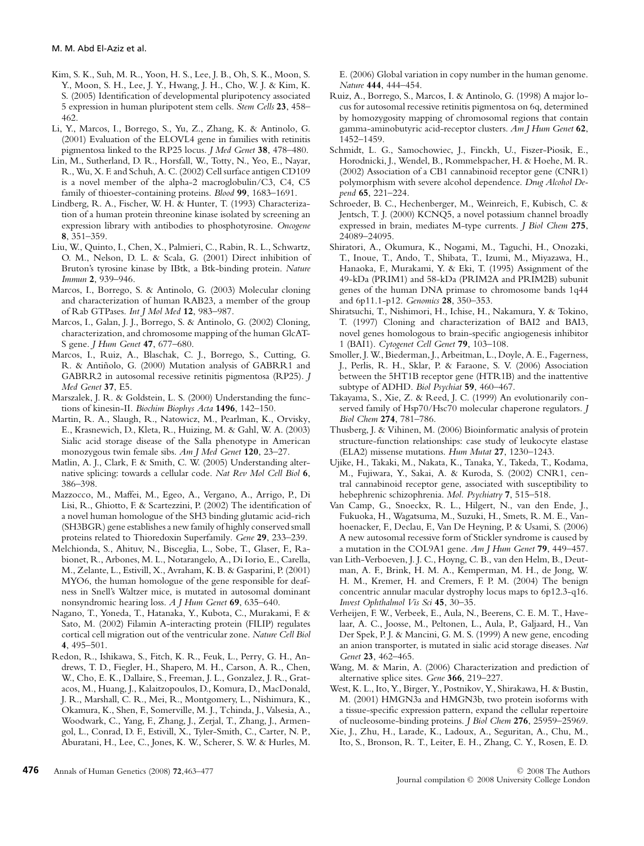- Kim, S. K., Suh, M. R., Yoon, H. S., Lee, J. B., Oh, S. K., Moon, S. Y., Moon, S. H., Lee, J. Y., Hwang, J. H., Cho, W. J. & Kim, K. S. (2005) Identification of developmental pluripotency associated 5 expression in human pluripotent stem cells. *Stem Cells* **23**, 458– 462.
- Li, Y., Marcos, I., Borrego, S., Yu, Z., Zhang, K. & Antinolo, G. (2001) Evaluation of the ELOVL4 gene in families with retinitis pigmentosa linked to the RP25 locus. *J Med Genet* **38**, 478–480.
- Lin, M., Sutherland, D. R., Horsfall, W., Totty, N., Yeo, E., Nayar, R., Wu, X. F. and Schuh, A. C. (2002) Cell surface antigen CD109 is a novel member of the alpha-2 macroglobulin/C3, C4, C5 family of thioester-containing proteins. *Blood* **99**, 1683–1691.
- Lindberg, R. A., Fischer, W. H. & Hunter, T. (1993) Characterization of a human protein threonine kinase isolated by screening an expression library with antibodies to phosphotyrosine. *Oncogene* **8**, 351–359.
- Liu, W., Quinto, I., Chen, X., Palmieri, C., Rabin, R. L., Schwartz, O. M., Nelson, D. L. & Scala, G. (2001) Direct inhibition of Bruton's tyrosine kinase by IBtk, a Btk-binding protein. *Nature Immun* **2**, 939–946.
- Marcos, I., Borrego, S. & Antinolo, G. (2003) Molecular cloning and characterization of human RAB23, a member of the group of Rab GTPases. *Int J Mol Med* **12**, 983–987.
- Marcos, I., Galan, J. J., Borrego, S. & Antinolo, G. (2002) Cloning, characterization, and chromosome mapping of the human GlcAT-S gene. *J Hum Genet* **47**, 677–680.
- Marcos, I., Ruiz, A., Blaschak, C. J., Borrego, S., Cutting, G. R. & Antiñolo, G. (2000) Mutation analysis of GABRR1 and GABRR2 in autosomal recessive retinitis pigmentosa (RP25). *J Med Genet* **37**, E5.
- Marszalek, J. R. & Goldstein, L. S. (2000) Understanding the functions of kinesin-II. *Biochim Biophys Acta* **1496**, 142–150.
- Martin, R. A., Slaugh, R., Natowicz, M., Pearlman, K., Orvisky, E., Krasnewich, D., Kleta, R., Huizing, M. & Gahl, W. A. (2003) Sialic acid storage disease of the Salla phenotype in American monozygous twin female sibs. *Am J Med Genet* **120**, 23–27.
- Matlin, A. J., Clark, F. & Smith, C. W. (2005) Understanding alternative splicing: towards a cellular code. *Nat Rev Mol Cell Biol* **6**, 386–398.
- Mazzocco, M., Maffei, M., Egeo, A., Vergano, A., Arrigo, P., Di Lisi, R., Ghiotto, F. & Scartezzini, P. (2002) The identification of a novel human homologue of the SH3 binding glutamic acid-rich (SH3BGR) gene establishes a new family of highly conserved small proteins related to Thioredoxin Superfamily. *Gene* **29**, 233–239.
- Melchionda, S., Ahituv, N., Bisceglia, L., Sobe, T., Glaser, F., Rabionet, R., Arbones, M. L., Notarangelo, A., Di Iorio, E., Carella, M., Zelante, L., Estivill, X., Avraham, K. B. & Gasparini, P. (2001) MYO6, the human homologue of the gene responsible for deafness in Snell's Waltzer mice, is mutated in autosomal dominant nonsyndromic hearing loss. *A J Hum Genet* **69**, 635–640.
- Nagano, T., Yoneda, T., Hatanaka, Y., Kubota, C., Murakami, F. & Sato, M. (2002) Filamin A-interacting protein (FILIP) regulates cortical cell migration out of the ventricular zone. *Nature Cell Biol* **4**, 495–501.
- Redon, R., Ishikawa, S., Fitch, K. R., Feuk, L., Perry, G. H., Andrews, T. D., Fiegler, H., Shapero, M. H., Carson, A. R., Chen, W., Cho, E. K., Dallaire, S., Freeman, J. L., Gonzalez, J. R., Gratacos, M., Huang, J., Kalaitzopoulos, D., Komura, D., MacDonald, J. R., Marshall, C. R., Mei, R., Montgomery, L., Nishimura, K., Okamura, K., Shen, F., Somerville, M. J., Tchinda, J., Valsesia, A., Woodwark, C., Yang, F., Zhang, J., Zerjal, T., Zhang, J., Armengol, L., Conrad, D. F., Estivill, X., Tyler-Smith, C., Carter, N. P., Aburatani, H., Lee, C., Jones, K. W., Scherer, S. W. & Hurles, M.

E. (2006) Global variation in copy number in the human genome. *Nature* **444**, 444–454.

- Ruiz, A., Borrego, S., Marcos, I. & Antinolo, G. (1998) A major locus for autosomal recessive retinitis pigmentosa on 6q, determined by homozygosity mapping of chromosomal regions that contain gamma-aminobutyric acid-receptor clusters. *Am J Hum Genet* **62**, 1452–1459.
- Schmidt, L. G., Samochowiec, J., Finckh, U., Fiszer-Piosik, E., Horodnicki, J., Wendel, B., Rommelspacher, H. & Hoehe, M. R. (2002) Association of a CB1 cannabinoid receptor gene (CNR1) polymorphism with severe alcohol dependence. *Drug Alcohol Depend* **65**, 221–224.
- Schroeder, B. C., Hechenberger, M., Weinreich, F., Kubisch, C. & Jentsch, T. J. (2000) KCNQ5, a novel potassium channel broadly expressed in brain, mediates M-type currents. *J Biol Chem* **275**, 24089–24095.
- Shiratori, A., Okumura, K., Nogami, M., Taguchi, H., Onozaki, T., Inoue, T., Ando, T., Shibata, T., Izumi, M., Miyazawa, H., Hanaoka, F., Murakami, Y. & Eki, T. (1995) Assignment of the 49-kDa (PRIM1) and 58-kDa (PRIM2A and PRIM2B) subunit genes of the human DNA primase to chromosome bands 1q44 and 6p11.1-p12. *Genomics* **28**, 350–353.
- Shiratsuchi, T., Nishimori, H., Ichise, H., Nakamura, Y. & Tokino, T. (1997) Cloning and characterization of BAI2 and BAI3, novel genes homologous to brain-specific angiogenesis inhibitor 1 (BAI1). *Cytogenet Cell Genet* **79**, 103–108.
- Smoller, J. W., Biederman, J., Arbeitman, L., Doyle, A. E., Fagerness, J., Perlis, R. H., Sklar, P. & Faraone, S. V. (2006) Association between the 5HT1B receptor gene (HTR1B) and the inattentive subtype of ADHD. *Biol Psychiat* **59**, 460–467.
- Takayama, S., Xie, Z. & Reed, J. C. (1999) An evolutionarily conserved family of Hsp70/Hsc70 molecular chaperone regulators. *J Biol Chem* **274**, 781–786.
- Thusberg, J. & Vihinen, M. (2006) Bioinformatic analysis of protein structure-function relationships: case study of leukocyte elastase (ELA2) missense mutations. *Hum Mutat* **27**, 1230–1243.
- Ujike, H., Takaki, M., Nakata, K., Tanaka, Y., Takeda, T., Kodama, M., Fujiwara, Y., Sakai, A. & Kuroda, S. (2002) CNR1, central cannabinoid receptor gene, associated with susceptibility to hebephrenic schizophrenia. *Mol. Psychiatry* **7**, 515–518.
- Van Camp, G., Snoeckx, R. L., Hilgert, N., van den Ende, J., Fukuoka, H., Wagatsuma, M., Suzuki, H., Smets, R. M. E., Vanhoenacker, F., Declau, F., Van De Heyning, P. & Usami, S. (2006) A new autosomal recessive form of Stickler syndrome is caused by a mutation in the COL9A1 gene. *Am J Hum Genet* **79**, 449–457.
- van Lith-Verboeven, J. J. C., Hoyng, C. B., van den Helm, B., Deutman, A. F., Brink, H. M. A., Kemperman, M. H., de Jong, W. H. M., Kremer, H. and Cremers, F. P. M. (2004) The benign concentric annular macular dystrophy locus maps to 6p12.3-q16. *Invest Ophthalmol Vis Sci* **45**, 30–35.
- Verheijen, F. W., Verbeek, E., Aula, N., Beerens, C. E. M. T., Havelaar, A. C., Joosse, M., Peltonen, L., Aula, P., Galjaard, H., Van Der Spek, P. J. & Mancini, G. M. S. (1999) A new gene, encoding an anion transporter, is mutated in sialic acid storage diseases. *Nat Genet* **23**, 462–465.
- Wang, M. & Marin, A. (2006) Characterization and prediction of alternative splice sites. *Gene* **366**, 219–227.
- West, K. L., Ito, Y., Birger, Y., Postnikov, Y., Shirakawa, H. & Bustin, M. (2001) HMGN3a and HMGN3b, two protein isoforms with a tissue-specific expression pattern, expand the cellular repertoire of nucleosome-binding proteins. *J Biol Chem* **276**, 25959–25969.
- Xie, J., Zhu, H., Larade, K., Ladoux, A., Seguritan, A., Chu, M., Ito, S., Bronson, R. T., Leiter, E. H., Zhang, C. Y., Rosen, E. D.